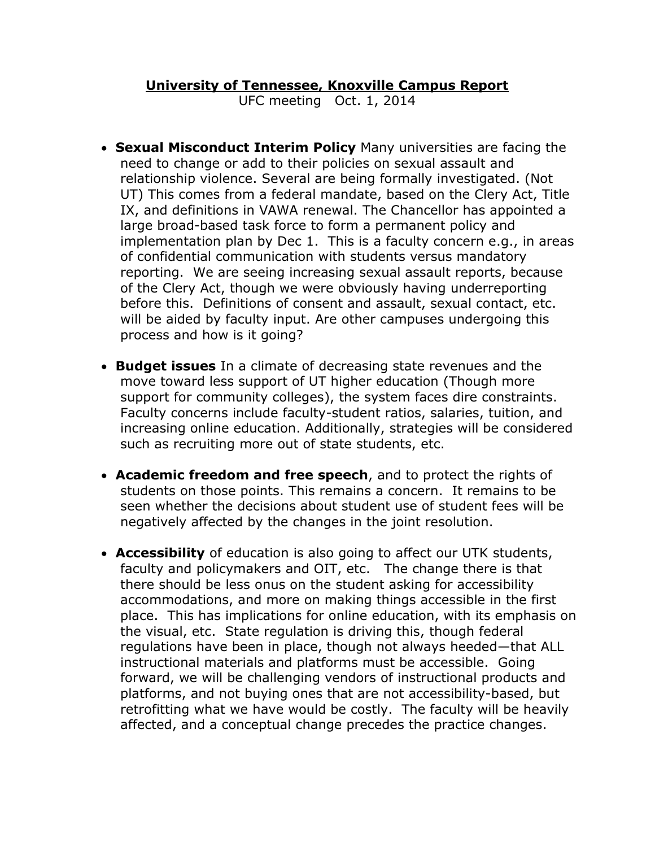## **University of Tennessee, Knoxville Campus Report**

UFC meeting Oct. 1, 2014

- **Sexual Misconduct Interim Policy** Many universities are facing the need to change or add to their policies on sexual assault and relationship violence. Several are being formally investigated. (Not UT) This comes from a federal mandate, based on the Clery Act, Title IX, and definitions in VAWA renewal. The Chancellor has appointed a large broad-based task force to form a permanent policy and implementation plan by Dec 1. This is a faculty concern e.g., in areas of confidential communication with students versus mandatory reporting. We are seeing increasing sexual assault reports, because of the Clery Act, though we were obviously having underreporting before this. Definitions of consent and assault, sexual contact, etc. will be aided by faculty input. Are other campuses undergoing this process and how is it going?
- **Budget issues** In a climate of decreasing state revenues and the move toward less support of UT higher education (Though more support for community colleges), the system faces dire constraints. Faculty concerns include faculty-student ratios, salaries, tuition, and increasing online education. Additionally, strategies will be considered such as recruiting more out of state students, etc.
- **Academic freedom and free speech**, and to protect the rights of students on those points. This remains a concern. It remains to be seen whether the decisions about student use of student fees will be negatively affected by the changes in the joint resolution.
- **Accessibility** of education is also going to affect our UTK students, faculty and policymakers and OIT, etc. The change there is that there should be less onus on the student asking for accessibility accommodations, and more on making things accessible in the first place. This has implications for online education, with its emphasis on the visual, etc. State regulation is driving this, though federal regulations have been in place, though not always heeded—that ALL instructional materials and platforms must be accessible. Going forward, we will be challenging vendors of instructional products and platforms, and not buying ones that are not accessibility-based, but retrofitting what we have would be costly. The faculty will be heavily affected, and a conceptual change precedes the practice changes.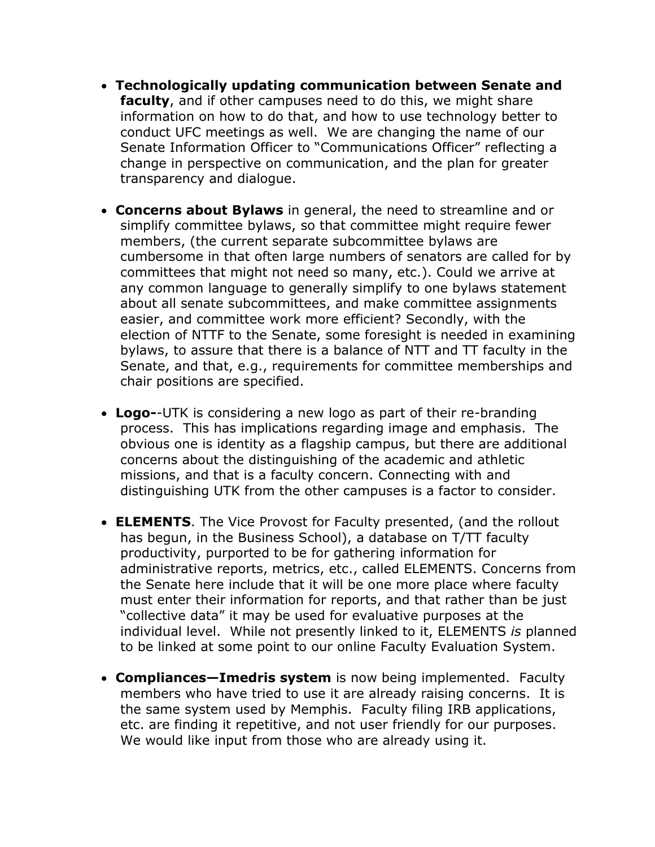- **Technologically updating communication between Senate and faculty**, and if other campuses need to do this, we might share information on how to do that, and how to use technology better to conduct UFC meetings as well. We are changing the name of our Senate Information Officer to "Communications Officer" reflecting a change in perspective on communication, and the plan for greater transparency and dialogue.
- **Concerns about Bylaws** in general, the need to streamline and or simplify committee bylaws, so that committee might require fewer members, (the current separate subcommittee bylaws are cumbersome in that often large numbers of senators are called for by committees that might not need so many, etc.). Could we arrive at any common language to generally simplify to one bylaws statement about all senate subcommittees, and make committee assignments easier, and committee work more efficient? Secondly, with the election of NTTF to the Senate, some foresight is needed in examining bylaws, to assure that there is a balance of NTT and TT faculty in the Senate, and that, e.g., requirements for committee memberships and chair positions are specified.
- **Logo-**-UTK is considering a new logo as part of their re-branding process. This has implications regarding image and emphasis. The obvious one is identity as a flagship campus, but there are additional concerns about the distinguishing of the academic and athletic missions, and that is a faculty concern. Connecting with and distinguishing UTK from the other campuses is a factor to consider.
- **ELEMENTS**. The Vice Provost for Faculty presented, (and the rollout has begun, in the Business School), a database on T/TT faculty productivity, purported to be for gathering information for administrative reports, metrics, etc., called ELEMENTS. Concerns from the Senate here include that it will be one more place where faculty must enter their information for reports, and that rather than be just "collective data" it may be used for evaluative purposes at the individual level. While not presently linked to it, ELEMENTS *is* planned to be linked at some point to our online Faculty Evaluation System.
- **Compliances—Imedris system** is now being implemented. Faculty members who have tried to use it are already raising concerns. It is the same system used by Memphis. Faculty filing IRB applications, etc. are finding it repetitive, and not user friendly for our purposes. We would like input from those who are already using it.